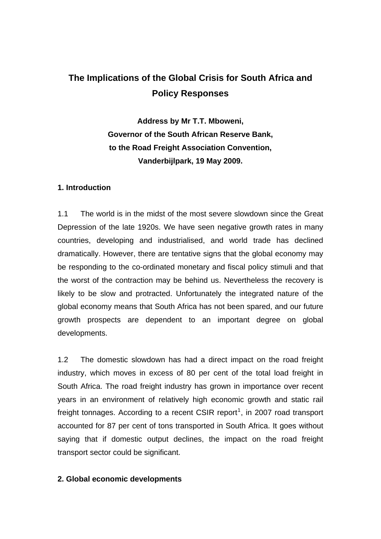# **The Implications of the Global Crisis for South Africa and Policy Responses**

**Address by Mr T.T. Mboweni, Governor of the South African Reserve Bank, to the Road Freight Association Convention, Vanderbijlpark, 19 May 2009.** 

## **1. Introduction**

1.1 The world is in the midst of the most severe slowdown since the Great Depression of the late 1920s. We have seen negative growth rates in many countries, developing and industrialised, and world trade has declined dramatically. However, there are tentative signs that the global economy may be responding to the co-ordinated monetary and fiscal policy stimuli and that the worst of the contraction may be behind us. Nevertheless the recovery is likely to be slow and protracted. Unfortunately the integrated nature of the global economy means that South Africa has not been spared, and our future growth prospects are dependent to an important degree on global developments.

1.2 The domestic slowdown has had a direct impact on the road freight industry, which moves in excess of 80 per cent of the total load freight in South Africa. The road freight industry has grown in importance over recent years in an environment of relatively high economic growth and static rail freight tonnages. According to a recent CSIR report<sup>[1](#page-1-0)</sup>, in 2007 road transport accounted for 87 per cent of tons transported in South Africa. It goes without saying that if domestic output declines, the impact on the road freight transport sector could be significant.

## **2. Global economic developments**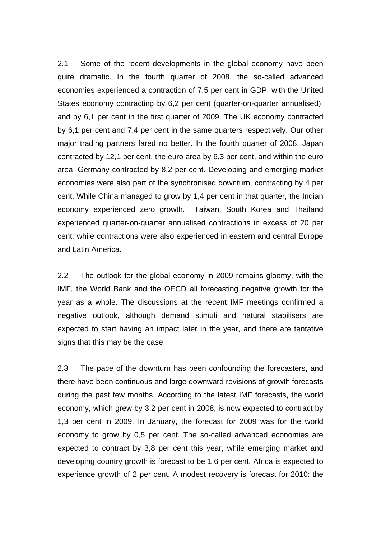2.1 Some of the recent developments in the global economy have been quite dramatic. In the fourth quarter of 2008, the so-called advanced economies experienced a contraction of 7,5 per cent in GDP, with the United States economy contracting by 6,2 per cent (quarter-on-quarter annualised), and by 6,1 per cent in the first quarter of 2009. The UK economy contracted by 6,1 per cent and 7,4 per cent in the same quarters respectively. Our other major trading partners fared no better. In the fourth quarter of 2008, Japan contracted by 12,1 per cent, the euro area by 6,3 per cent, and within the euro area, Germany contracted by 8,2 per cent. Developing and emerging market economies were also part of the synchronised downturn, contracting by 4 per cent. While China managed to grow by 1,4 per cent in that quarter, the Indian economy experienced zero growth. Taiwan, South Korea and Thailand experienced quarter-on-quarter annualised contractions in excess of 20 per cent, while contractions were also experienced in eastern and central Europe and Latin America.

2.2 The outlook for the global economy in 2009 remains gloomy, with the IMF, the World Bank and the OECD all forecasting negative growth for the year as a whole. The discussions at the recent IMF meetings confirmed a negative outlook, although demand stimuli and natural stabilisers are expected to start having an impact later in the year, and there are tentative signs that this may be the case.

<span id="page-1-0"></span>2.3 The pace of the downturn has been confounding the forecasters, and there have been continuous and large downward revisions of growth forecasts during the past few months. According to the latest IMF forecasts, the world economy, which grew by 3,2 per cent in 2008, is now expected to contract by 1,3 per cent in 2009. In January, the forecast for 2009 was for the world economy to grow by 0,5 per cent. The so-called advanced economies are expected to contract by 3,8 per cent this year, while emerging market and developing country growth is forecast to be 1,6 per cent. Africa is expected to experience growth of 2 per cent. A modest recovery is forecast for 2010: the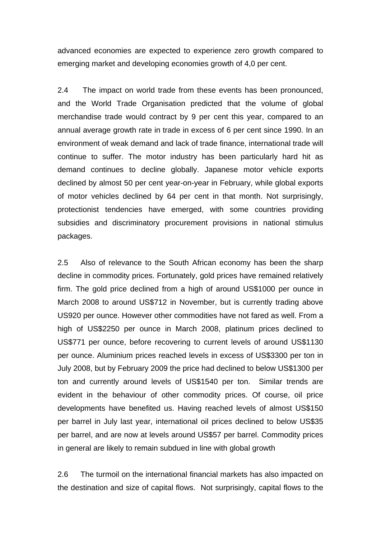advanced economies are expected to experience zero growth compared to emerging market and developing economies growth of 4,0 per cent.

2.4 The impact on world trade from these events has been pronounced, and the World Trade Organisation predicted that the volume of global merchandise trade would contract by 9 per cent this year, compared to an annual average growth rate in trade in excess of 6 per cent since 1990. In an environment of weak demand and lack of trade finance, international trade will continue to suffer. The motor industry has been particularly hard hit as demand continues to decline globally. Japanese motor vehicle exports declined by almost 50 per cent year-on-year in February, while global exports of motor vehicles declined by 64 per cent in that month. Not surprisingly, protectionist tendencies have emerged, with some countries providing subsidies and discriminatory procurement provisions in national stimulus packages.

2.5 Also of relevance to the South African economy has been the sharp decline in commodity prices. Fortunately, gold prices have remained relatively firm. The gold price declined from a high of around US\$1000 per ounce in March 2008 to around US\$712 in November, but is currently trading above US920 per ounce. However other commodities have not fared as well. From a high of US\$2250 per ounce in March 2008, platinum prices declined to US\$771 per ounce, before recovering to current levels of around US\$1130 per ounce. Aluminium prices reached levels in excess of US\$3300 per ton in July 2008, but by February 2009 the price had declined to below US\$1300 per ton and currently around levels of US\$1540 per ton. Similar trends are evident in the behaviour of other commodity prices. Of course, oil price developments have benefited us. Having reached levels of almost US\$150 per barrel in July last year, international oil prices declined to below US\$35 per barrel, and are now at levels around US\$57 per barrel. Commodity prices in general are likely to remain subdued in line with global growth

2.6 The turmoil on the international financial markets has also impacted on the destination and size of capital flows. Not surprisingly, capital flows to the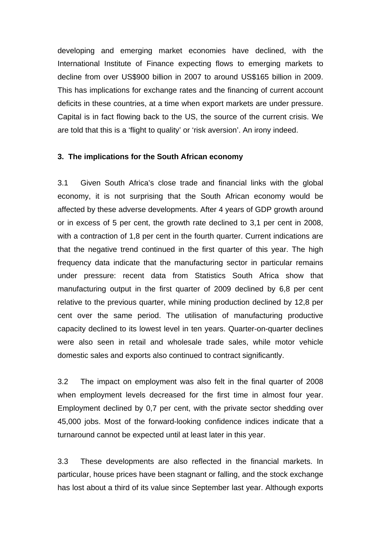developing and emerging market economies have declined, with the International Institute of Finance expecting flows to emerging markets to decline from over US\$900 billion in 2007 to around US\$165 billion in 2009. This has implications for exchange rates and the financing of current account deficits in these countries, at a time when export markets are under pressure. Capital is in fact flowing back to the US, the source of the current crisis. We are told that this is a 'flight to quality' or 'risk aversion'. An irony indeed.

#### **3. The implications for the South African economy**

3.1 Given South Africa's close trade and financial links with the global economy, it is not surprising that the South African economy would be affected by these adverse developments. After 4 years of GDP growth around or in excess of 5 per cent, the growth rate declined to 3,1 per cent in 2008, with a contraction of 1,8 per cent in the fourth quarter. Current indications are that the negative trend continued in the first quarter of this year. The high frequency data indicate that the manufacturing sector in particular remains under pressure: recent data from Statistics South Africa show that manufacturing output in the first quarter of 2009 declined by 6,8 per cent relative to the previous quarter, while mining production declined by 12,8 per cent over the same period. The utilisation of manufacturing productive capacity declined to its lowest level in ten years. Quarter-on-quarter declines were also seen in retail and wholesale trade sales, while motor vehicle domestic sales and exports also continued to contract significantly.

3.2 The impact on employment was also felt in the final quarter of 2008 when employment levels decreased for the first time in almost four year. Employment declined by 0,7 per cent, with the private sector shedding over 45,000 jobs. Most of the forward-looking confidence indices indicate that a turnaround cannot be expected until at least later in this year.

3.3 These developments are also reflected in the financial markets. In particular, house prices have been stagnant or falling, and the stock exchange has lost about a third of its value since September last year. Although exports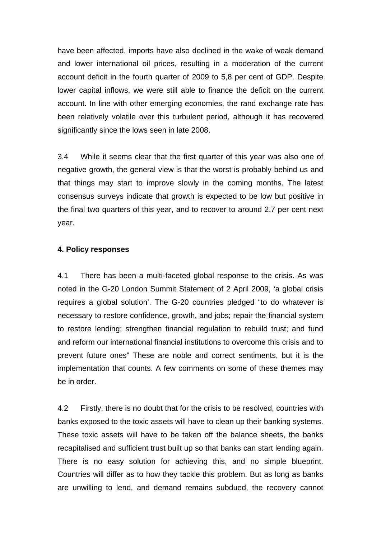have been affected, imports have also declined in the wake of weak demand and lower international oil prices, resulting in a moderation of the current account deficit in the fourth quarter of 2009 to 5,8 per cent of GDP. Despite lower capital inflows, we were still able to finance the deficit on the current account. In line with other emerging economies, the rand exchange rate has been relatively volatile over this turbulent period, although it has recovered significantly since the lows seen in late 2008.

3.4 While it seems clear that the first quarter of this year was also one of negative growth, the general view is that the worst is probably behind us and that things may start to improve slowly in the coming months. The latest consensus surveys indicate that growth is expected to be low but positive in the final two quarters of this year, and to recover to around 2,7 per cent next year.

## **4. Policy responses**

4.1 There has been a multi-faceted global response to the crisis. As was noted in the G-20 London Summit Statement of 2 April 2009, 'a global crisis requires a global solution'. The G-20 countries pledged "to do whatever is necessary to restore confidence, growth, and jobs; repair the financial system to restore lending; strengthen financial regulation to rebuild trust; and fund and reform our international financial institutions to overcome this crisis and to prevent future ones" These are noble and correct sentiments, but it is the implementation that counts. A few comments on some of these themes may be in order.

4.2 Firstly, there is no doubt that for the crisis to be resolved, countries with banks exposed to the toxic assets will have to clean up their banking systems. These toxic assets will have to be taken off the balance sheets, the banks recapitalised and sufficient trust built up so that banks can start lending again. There is no easy solution for achieving this, and no simple blueprint. Countries will differ as to how they tackle this problem. But as long as banks are unwilling to lend, and demand remains subdued, the recovery cannot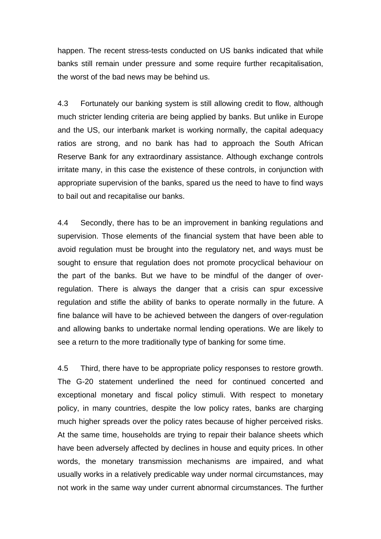happen. The recent stress-tests conducted on US banks indicated that while banks still remain under pressure and some require further recapitalisation, the worst of the bad news may be behind us.

4.3 Fortunately our banking system is still allowing credit to flow, although much stricter lending criteria are being applied by banks. But unlike in Europe and the US, our interbank market is working normally, the capital adequacy ratios are strong, and no bank has had to approach the South African Reserve Bank for any extraordinary assistance. Although exchange controls irritate many, in this case the existence of these controls, in conjunction with appropriate supervision of the banks, spared us the need to have to find ways to bail out and recapitalise our banks.

4.4 Secondly, there has to be an improvement in banking regulations and supervision. Those elements of the financial system that have been able to avoid regulation must be brought into the regulatory net, and ways must be sought to ensure that regulation does not promote procyclical behaviour on the part of the banks. But we have to be mindful of the danger of overregulation. There is always the danger that a crisis can spur excessive regulation and stifle the ability of banks to operate normally in the future. A fine balance will have to be achieved between the dangers of over-regulation and allowing banks to undertake normal lending operations. We are likely to see a return to the more traditionally type of banking for some time.

4.5 Third, there have to be appropriate policy responses to restore growth. The G-20 statement underlined the need for continued concerted and exceptional monetary and fiscal policy stimuli. With respect to monetary policy, in many countries, despite the low policy rates, banks are charging much higher spreads over the policy rates because of higher perceived risks. At the same time, households are trying to repair their balance sheets which have been adversely affected by declines in house and equity prices. In other words, the monetary transmission mechanisms are impaired, and what usually works in a relatively predicable way under normal circumstances, may not work in the same way under current abnormal circumstances. The further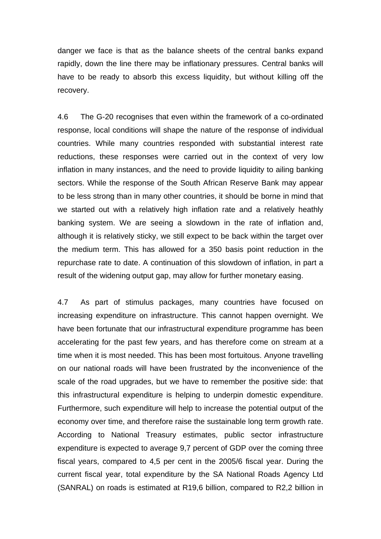danger we face is that as the balance sheets of the central banks expand rapidly, down the line there may be inflationary pressures. Central banks will have to be ready to absorb this excess liquidity, but without killing off the recovery.

4.6 The G-20 recognises that even within the framework of a co-ordinated response, local conditions will shape the nature of the response of individual countries. While many countries responded with substantial interest rate reductions, these responses were carried out in the context of very low inflation in many instances, and the need to provide liquidity to ailing banking sectors. While the response of the South African Reserve Bank may appear to be less strong than in many other countries, it should be borne in mind that we started out with a relatively high inflation rate and a relatively heathly banking system. We are seeing a slowdown in the rate of inflation and, although it is relatively sticky, we still expect to be back within the target over the medium term. This has allowed for a 350 basis point reduction in the repurchase rate to date. A continuation of this slowdown of inflation, in part a result of the widening output gap, may allow for further monetary easing.

4.7 As part of stimulus packages, many countries have focused on increasing expenditure on infrastructure. This cannot happen overnight. We have been fortunate that our infrastructural expenditure programme has been accelerating for the past few years, and has therefore come on stream at a time when it is most needed. This has been most fortuitous. Anyone travelling on our national roads will have been frustrated by the inconvenience of the scale of the road upgrades, but we have to remember the positive side: that this infrastructural expenditure is helping to underpin domestic expenditure. Furthermore, such expenditure will help to increase the potential output of the economy over time, and therefore raise the sustainable long term growth rate. According to National Treasury estimates, public sector infrastructure expenditure is expected to average 9,7 percent of GDP over the coming three fiscal years, compared to 4,5 per cent in the 2005/6 fiscal year. During the current fiscal year, total expenditure by the SA National Roads Agency Ltd (SANRAL) on roads is estimated at R19,6 billion, compared to R2,2 billion in